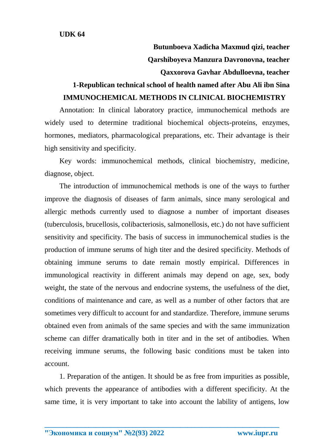**Butunboeva Xadicha Maxmud qizi, teacher Qarshiboyeva Manzura Davronovna, teacher**

## **Qaxxorova Gavhar Abdulloevna, teacher**

## **1-Republican technical school of health named after Abu Ali ibn Sina IMMUNOCHEMICAL METHODS IN CLINICAL BIOCHEMISTRY**

Annotation: In clinical laboratory practice, immunochemical methods are widely used to determine traditional biochemical objects-proteins, enzymes, hormones, mediators, pharmacological preparations, etc. Their advantage is their high sensitivity and specificity.

Key words: immunochemical methods, clinical biochemistry, medicine, diagnose, object.

The introduction of immunochemical methods is one of the ways to further improve the diagnosis of diseases of farm animals, since many serological and allergic methods currently used to diagnose a number of important diseases (tuberculosis, brucellosis, colibacteriosis, salmonellosis, etc.) do not have sufficient sensitivity and specificity. The basis of success in immunochemical studies is the production of immune serums of high titer and the desired specificity. Methods of obtaining immune serums to date remain mostly empirical. Differences in immunological reactivity in different animals may depend on age, sex, body weight, the state of the nervous and endocrine systems, the usefulness of the diet, conditions of maintenance and care, as well as a number of other factors that are sometimes very difficult to account for and standardize. Therefore, immune serums obtained even from animals of the same species and with the same immunization scheme can differ dramatically both in titer and in the set of antibodies. When receiving immune serums, the following basic conditions must be taken into account.

1. Preparation of the antigen. It should be as free from impurities as possible, which prevents the appearance of antibodies with a different specificity. At the same time, it is very important to take into account the lability of antigens, low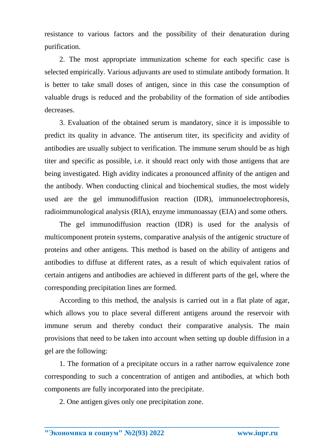resistance to various factors and the possibility of their denaturation during purification.

2. The most appropriate immunization scheme for each specific case is selected empirically. Various adjuvants are used to stimulate antibody formation. It is better to take small doses of antigen, since in this case the consumption of valuable drugs is reduced and the probability of the formation of side antibodies decreases.

3. Evaluation of the obtained serum is mandatory, since it is impossible to predict its quality in advance. The antiserum titer, its specificity and avidity of antibodies are usually subject to verification. The immune serum should be as high titer and specific as possible, i.e. it should react only with those antigens that are being investigated. High avidity indicates a pronounced affinity of the antigen and the antibody. When conducting clinical and biochemical studies, the most widely used are the gel immunodiffusion reaction (IDR), immunoelectrophoresis, radioimmunological analysis (RIA), enzyme immunoassay (EIA) and some others.

The gel immunodiffusion reaction (IDR) is used for the analysis of multicomponent protein systems, comparative analysis of the antigenic structure of proteins and other antigens. This method is based on the ability of antigens and antibodies to diffuse at different rates, as a result of which equivalent ratios of certain antigens and antibodies are achieved in different parts of the gel, where the corresponding precipitation lines are formed.

According to this method, the analysis is carried out in a flat plate of agar, which allows you to place several different antigens around the reservoir with immune serum and thereby conduct their comparative analysis. The main provisions that need to be taken into account when setting up double diffusion in a gel are the following:

1. The formation of a precipitate occurs in a rather narrow equivalence zone corresponding to such a concentration of antigen and antibodies, at which both components are fully incorporated into the precipitate.

**\_\_\_\_\_\_\_\_\_\_\_\_\_\_\_\_\_\_\_\_\_\_\_\_\_\_\_\_\_\_\_\_\_\_\_\_\_\_\_\_\_\_\_\_\_\_\_\_\_\_\_\_\_\_\_\_\_\_\_\_\_\_\_\_**

2. One antigen gives only one precipitation zone.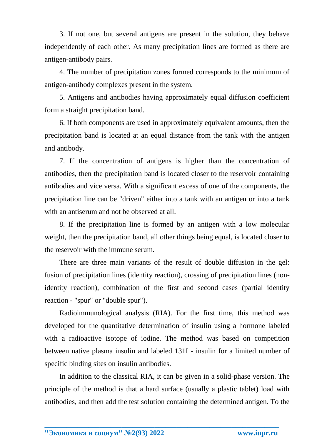3. If not one, but several antigens are present in the solution, they behave independently of each other. As many precipitation lines are formed as there are antigen-antibody pairs.

4. The number of precipitation zones formed corresponds to the minimum of antigen-antibody complexes present in the system.

5. Antigens and antibodies having approximately equal diffusion coefficient form a straight precipitation band.

6. If both components are used in approximately equivalent amounts, then the precipitation band is located at an equal distance from the tank with the antigen and antibody.

7. If the concentration of antigens is higher than the concentration of antibodies, then the precipitation band is located closer to the reservoir containing antibodies and vice versa. With a significant excess of one of the components, the precipitation line can be "driven" either into a tank with an antigen or into a tank with an antiserum and not be observed at all.

8. If the precipitation line is formed by an antigen with a low molecular weight, then the precipitation band, all other things being equal, is located closer to the reservoir with the immune serum.

There are three main variants of the result of double diffusion in the gel: fusion of precipitation lines (identity reaction), crossing of precipitation lines (nonidentity reaction), combination of the first and second cases (partial identity reaction - "spur" or "double spur").

Radioimmunological analysis (RIA). For the first time, this method was developed for the quantitative determination of insulin using a hormone labeled with a radioactive isotope of iodine. The method was based on competition between native plasma insulin and labeled 131I - insulin for a limited number of specific binding sites on insulin antibodies.

In addition to the classical RIA, it can be given in a solid-phase version. The principle of the method is that a hard surface (usually a plastic tablet) load with antibodies, and then add the test solution containing the determined antigen. To the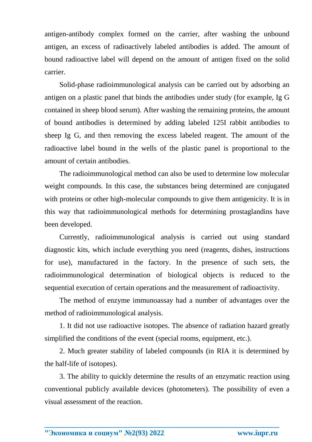antigen-antibody complex formed on the carrier, after washing the unbound antigen, an excess of radioactively labeled antibodies is added. The amount of bound radioactive label will depend on the amount of antigen fixed on the solid carrier.

Solid-phase radioimmunological analysis can be carried out by adsorbing an antigen on a plastic panel that binds the antibodies under study (for example, Ig G contained in sheep blood serum). After washing the remaining proteins, the amount of bound antibodies is determined by adding labeled 125I rabbit antibodies to sheep Ig G, and then removing the excess labeled reagent. The amount of the radioactive label bound in the wells of the plastic panel is proportional to the amount of certain antibodies.

The radioimmunological method can also be used to determine low molecular weight compounds. In this case, the substances being determined are conjugated with proteins or other high-molecular compounds to give them antigenicity. It is in this way that radioimmunological methods for determining prostaglandins have been developed.

Currently, radioimmunological analysis is carried out using standard diagnostic kits, which include everything you need (reagents, dishes, instructions for use), manufactured in the factory. In the presence of such sets, the radioimmunological determination of biological objects is reduced to the sequential execution of certain operations and the measurement of radioactivity.

The method of enzyme immunoassay had a number of advantages over the method of radioimmunological analysis.

1. It did not use radioactive isotopes. The absence of radiation hazard greatly simplified the conditions of the event (special rooms, equipment, etc.).

2. Much greater stability of labeled compounds (in RIA it is determined by the half-life of isotopes).

3. The ability to quickly determine the results of an enzymatic reaction using conventional publicly available devices (photometers). The possibility of even a visual assessment of the reaction.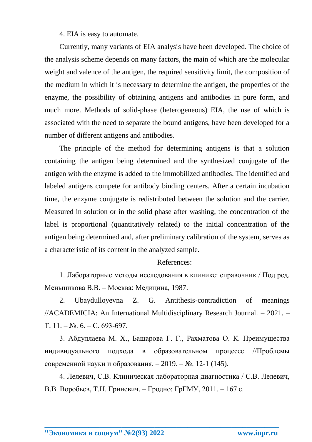4. EIA is easy to automate.

Currently, many variants of EIA analysis have been developed. The choice of the analysis scheme depends on many factors, the main of which are the molecular weight and valence of the antigen, the required sensitivity limit, the composition of the medium in which it is necessary to determine the antigen, the properties of the enzyme, the possibility of obtaining antigens and antibodies in pure form, and much more. Methods of solid-phase (heterogeneous) EIA, the use of which is associated with the need to separate the bound antigens, have been developed for a number of different antigens and antibodies.

The principle of the method for determining antigens is that a solution containing the antigen being determined and the synthesized conjugate of the antigen with the enzyme is added to the immobilized antibodies. The identified and labeled antigens compete for antibody binding centers. After a certain incubation time, the enzyme conjugate is redistributed between the solution and the carrier. Measured in solution or in the solid phase after washing, the concentration of the label is proportional (quantitatively related) to the initial concentration of the antigen being determined and, after preliminary calibration of the system, serves as a characteristic of its content in the analyzed sample.

## References:

1. Лабораторные методы исследования в клинике: справочник / Под ред. Меньшикова В.В. – Москва: Медицина, 1987.

2. Ubaydulloyevna Z. G. Antithesis-contradiction of meanings //ACADEMICIA: An International Multidisciplinary Research Journal. – 2021. – Т. 11. – №. 6. – С. 693-697.

3. Абдуллаева М. Х., Башарова Г. Г., Рахматова О. К. Преимущества индивидуального подхода в образовательном процессе //Проблемы современной науки и образования. – 2019. – №. 12-1 (145).

4. Лелевич, С.В. Клиническая лабораторная диагностика / С.В. Лелевич, В.В. Воробьев, Т.Н. Гриневич. – Гродно: ГрГМУ, 2011. – 167 с.